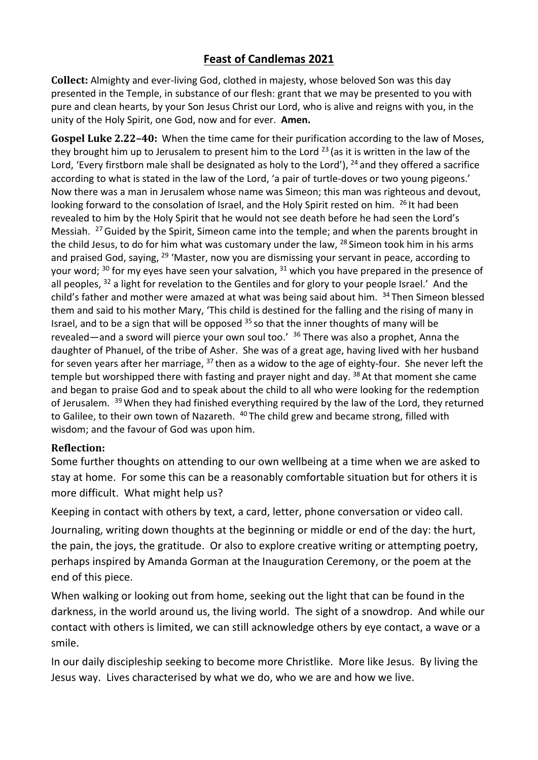## **Feast of Candlemas 2021**

**Collect:** Almighty and ever-living God, clothed in majesty, whose beloved Son was this day presented in the Temple, in substance of our flesh: grant that we may be presented to you with pure and clean hearts, by your Son Jesus Christ our Lord, who is alive and reigns with you, in the unity of the Holy Spirit, one God, now and for ever. **Amen.**

**Gospel Luke 2.22–40:** When the time came for their purification according to the law of Moses, they brought him up to Jerusalem to present him to the Lord<sup>23</sup> (as it is written in the law of the Lord, 'Every firstborn male shall be designated as holy to the Lord'), <sup>24</sup> and they offered a sacrifice according to what is stated in the law of the Lord, 'a pair of turtle-doves or two young pigeons.' Now there was a man in Jerusalem whose name was Simeon; this man was righteous and devout, looking forward to the consolation of Israel, and the Holy Spirit rested on him. <sup>26</sup> It had been revealed to him by the Holy Spirit that he would not see death before he had seen the Lord's Messiah. <sup>27</sup> Guided by the Spirit, Simeon came into the temple; and when the parents brought in the child Jesus, to do for him what was customary under the law,  $^{28}$  Simeon took him in his arms and praised God, saying, <sup>29</sup> 'Master, now you are dismissing your servant in peace, according to your word;  $30$  for my eyes have seen your salvation,  $31$  which you have prepared in the presence of all peoples,  $32$  a light for revelation to the Gentiles and for glory to your people Israel.' And the child's father and mother were amazed at what was being said about him. <sup>34</sup> Then Simeon blessed them and said to his mother Mary, 'This child is destined for the falling and the rising of many in Israel, and to be a sign that will be opposed  $35$  so that the inner thoughts of many will be revealed—and a sword will pierce your own soul too.' <sup>36</sup> There was also a prophet, Anna the daughter of Phanuel, of the tribe of Asher. She was of a great age, having lived with her husband for seven years after her marriage, <sup>37</sup> then as a widow to the age of eighty-four. She never left the temple but worshipped there with fasting and prayer night and day. <sup>38</sup> At that moment she came and began to praise God and to speak about the child to all who were looking for the redemption of Jerusalem. <sup>39</sup> When they had finished everything required by the law of the Lord, they returned to Galilee, to their own town of Nazareth. <sup>40</sup> The child grew and became strong, filled with wisdom; and the favour of God was upon him.

## **Reflection:**

Some further thoughts on attending to our own wellbeing at a time when we are asked to stay at home. For some this can be a reasonably comfortable situation but for others it is more difficult. What might help us?

Keeping in contact with others by text, a card, letter, phone conversation or video call.

Journaling, writing down thoughts at the beginning or middle or end of the day: the hurt, the pain, the joys, the gratitude. Or also to explore creative writing or attempting poetry, perhaps inspired by Amanda Gorman at the Inauguration Ceremony, or the poem at the end of this piece.

When walking or looking out from home, seeking out the light that can be found in the darkness, in the world around us, the living world. The sight of a snowdrop. And while our contact with others is limited, we can still acknowledge others by eye contact, a wave or a smile.

In our daily discipleship seeking to become more Christlike. More like Jesus. By living the Jesus way. Lives characterised by what we do, who we are and how we live.